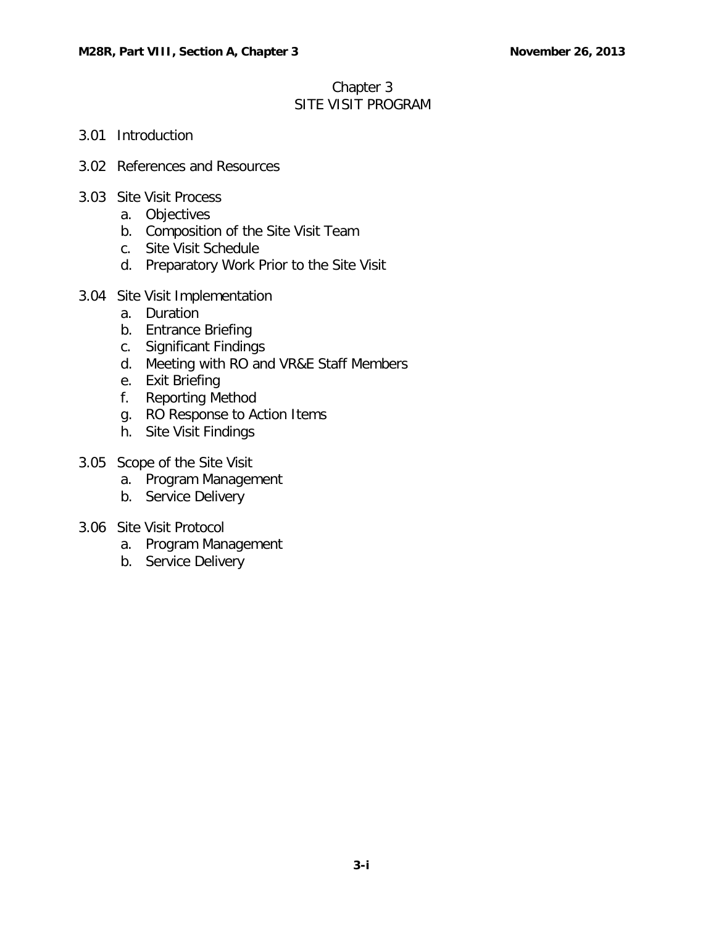## Chapter 3 SITE VISIT PROGRAM

- 3.01 [Introduction](#page-1-0)
- 3.02 [References and](#page-1-1) Resources
- 3.03 [Site Visit](#page-1-2) Process
	- a. [Objectives](#page-1-3)
	- b. Composition of [the Site Visit](#page-2-0) Team
	- c. Site Visit [Schedule](#page-2-1)
	- d. Preparatory Work Prior [to the Site Visit](#page-2-2)
- 3.04 Site Visit [Implementation](#page-4-0)
	- a. [Duration](#page-4-1)
	- b. [Entrance Briefing](#page-4-2)
	- c. [Significant](#page-4-3) Findings
	- d. Meeting with RO and VR&E Staff [Members](#page-4-4)
	- e. Exit [Briefing](#page-4-5)
	- f. [Reporting](#page-4-6) Method
	- g. RO [Response to](#page-5-0) Action Items
	- h. [Site Visit](#page-5-1) Findings
- 3.05 Scope of [the Site Visit](#page-5-2)
	- a. Program [Management](#page-5-3)
	- b. [Service Delivery](#page-6-0)
- 3.06 [Site Visit](#page-6-1) Protocol
	- a. Program [Management](#page-6-2)
	- b. [Service Delivery](#page-17-0)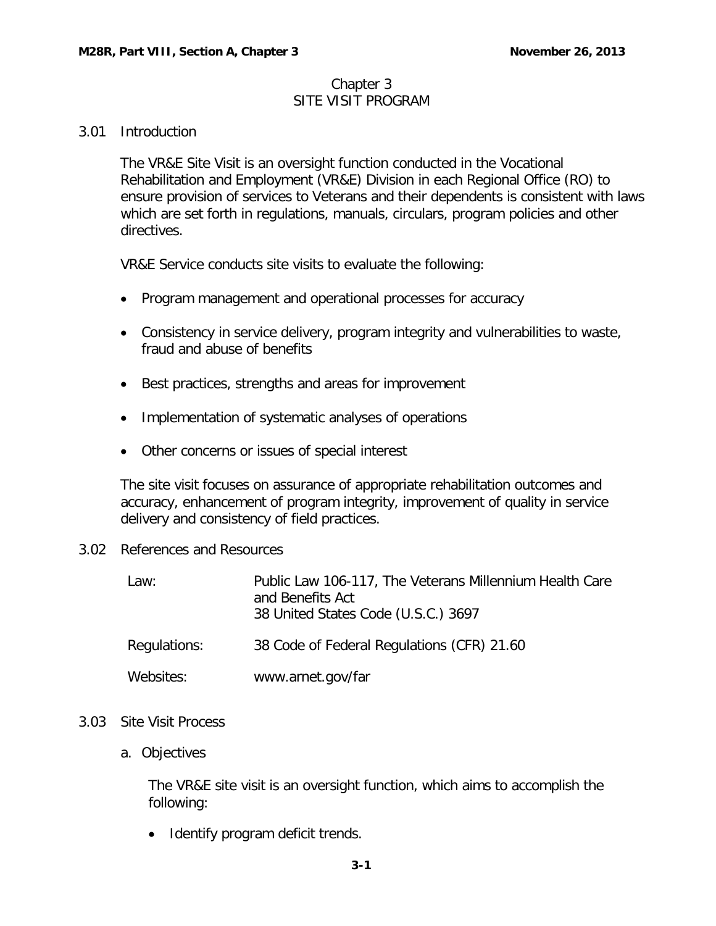#### Chapter 3 SITE VISIT PROGRAM

#### <span id="page-1-0"></span>3.01 Introduction

The VR&E Site Visit is an oversight function conducted in the Vocational Rehabilitation and Employment (VR&E) Division in each Regional Office (RO) to ensure provision of services to Veterans and their dependents is consistent with laws which are set forth in regulations, manuals, circulars, program policies and other directives.

VR&E Service conducts site visits to evaluate the following:

- Program management and operational processes for accuracy
- Consistency in service delivery, program integrity and vulnerabilities to waste, fraud and abuse of benefits
- Best practices, strengths and areas for improvement
- Implementation of systematic analyses of operations
- Other concerns or issues of special interest

The site visit focuses on assurance of appropriate rehabilitation outcomes and accuracy, enhancement of program integrity, improvement of quality in service delivery and consistency of field practices.

<span id="page-1-1"></span>3.02 References and Resources

| Law:         | Public Law 106-117, The Veterans Millennium Health Care<br>and Benefits Act<br>38 United States Code (U.S.C.) 3697 |
|--------------|--------------------------------------------------------------------------------------------------------------------|
| Regulations: | 38 Code of Federal Regulations (CFR) 21.60                                                                         |
| Websites:    | www.arnet.gov/far                                                                                                  |

#### <span id="page-1-3"></span><span id="page-1-2"></span>3.03 Site Visit Process

a. Objectives

The VR&E site visit is an oversight function, which aims to accomplish the following:

• Identify program deficit trends.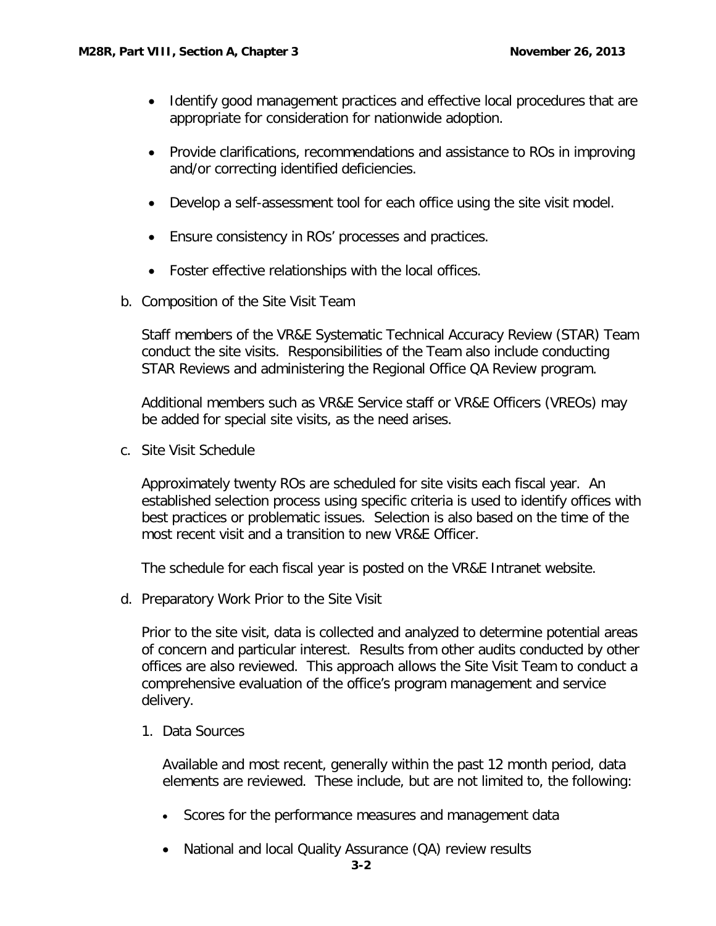- Identify good management practices and effective local procedures that are appropriate for consideration for nationwide adoption.
- Provide clarifications, recommendations and assistance to ROs in improving and/or correcting identified deficiencies.
- Develop a self-assessment tool for each office using the site visit model.
- Ensure consistency in ROs' processes and practices.
- Foster effective relationships with the local offices.
- <span id="page-2-0"></span>b. Composition of the Site Visit Team

Staff members of the VR&E Systematic Technical Accuracy Review (STAR) Team conduct the site visits. Responsibilities of the Team also include conducting STAR Reviews and administering the Regional Office QA Review program.

Additional members such as VR&E Service staff or VR&E Officers (VREOs) may be added for special site visits, as the need arises.

<span id="page-2-1"></span>c. Site Visit Schedule

Approximately twenty ROs are scheduled for site visits each fiscal year. An established selection process using specific criteria is used to identify offices with best practices or problematic issues. Selection is also based on the time of the most recent visit and a transition to new VR&E Officer.

The schedule for each fiscal year is posted on the VR&E Intranet website.

<span id="page-2-2"></span>d. Preparatory Work Prior to the Site Visit

Prior to the site visit, data is collected and analyzed to determine potential areas of concern and particular interest. Results from other audits conducted by other offices are also reviewed. This approach allows the Site Visit Team to conduct a comprehensive evaluation of the office's program management and service delivery.

1. Data Sources

Available and most recent, generally within the past 12 month period, data elements are reviewed. These include, but are not limited to, the following:

- Scores for the performance measures and management data
- National and local Quality Assurance (QA) review results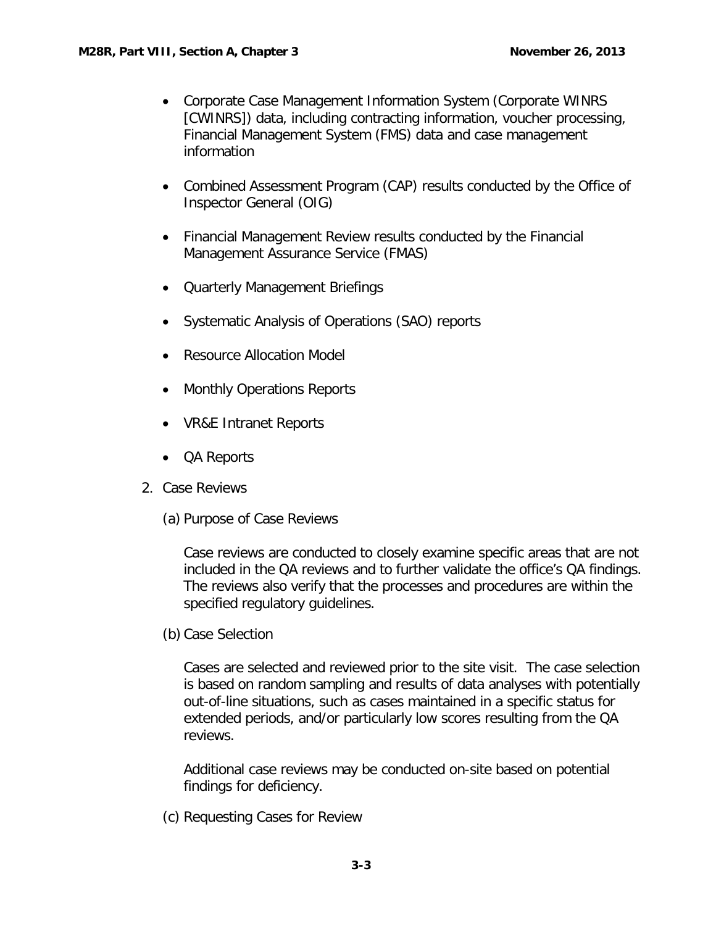- Corporate Case Management Information System (Corporate WINRS [CWINRS]) data, including contracting information, voucher processing, Financial Management System (FMS) data and case management information
- Combined Assessment Program (CAP) results conducted by the Office of Inspector General (OIG)
- Financial Management Review results conducted by the Financial Management Assurance Service (FMAS)
- Quarterly Management Briefings
- Systematic Analysis of Operations (SAO) reports
- Resource Allocation Model
- Monthly Operations Reports
- VR&E Intranet Reports
- QA Reports
- 2. Case Reviews
	- (a) Purpose of Case Reviews

Case reviews are conducted to closely examine specific areas that are not included in the QA reviews and to further validate the office's QA findings. The reviews also verify that the processes and procedures are within the specified regulatory guidelines.

(b) Case Selection

Cases are selected and reviewed prior to the site visit. The case selection is based on random sampling and results of data analyses with potentially out-of-line situations, such as cases maintained in a specific status for extended periods, and/or particularly low scores resulting from the QA reviews.

Additional case reviews may be conducted on-site based on potential findings for deficiency.

(c) Requesting Cases for Review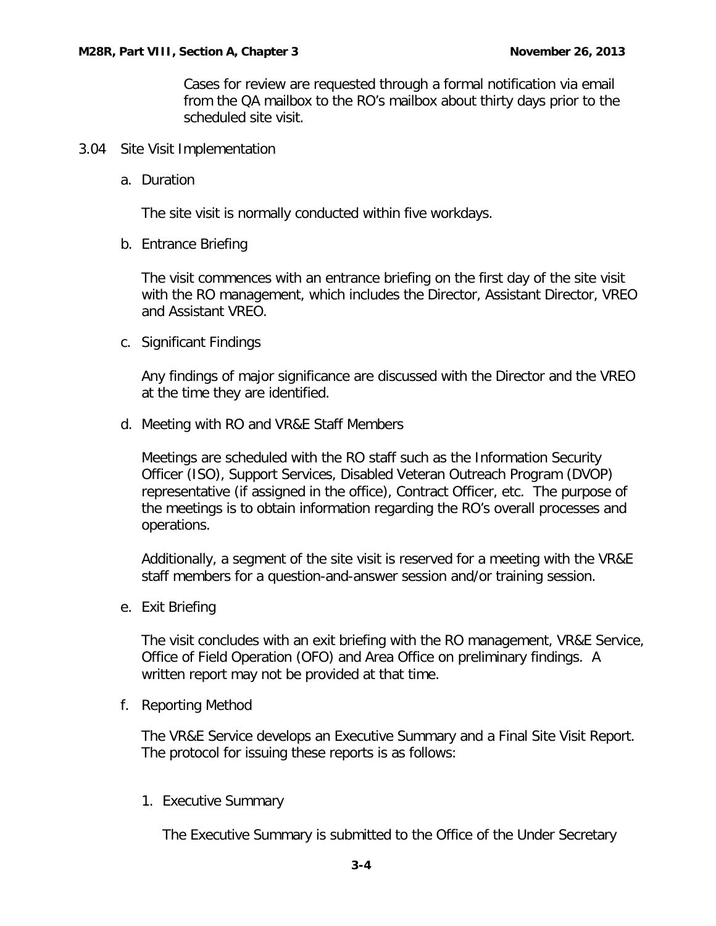Cases for review are requested through a formal notification via email from the QA mailbox to the RO's mailbox about thirty days prior to the scheduled site visit.

- <span id="page-4-1"></span><span id="page-4-0"></span>3.04 Site Visit Implementation
	- a. Duration

The site visit is normally conducted within five workdays.

<span id="page-4-2"></span>b. Entrance Briefing

The visit commences with an entrance briefing on the first day of the site visit with the RO management, which includes the Director, Assistant Director, VREO and Assistant VREO.

<span id="page-4-3"></span>c. Significant Findings

Any findings of major significance are discussed with the Director and the VREO at the time they are identified.

<span id="page-4-4"></span>d. Meeting with RO and VR&E Staff Members

Meetings are scheduled with the RO staff such as the Information Security Officer (ISO), Support Services, Disabled Veteran Outreach Program (DVOP) representative (if assigned in the office), Contract Officer, etc. The purpose of the meetings is to obtain information regarding the RO's overall processes and operations.

Additionally, a segment of the site visit is reserved for a meeting with the VR&E staff members for a question-and-answer session and/or training session.

<span id="page-4-5"></span>e. Exit Briefing

The visit concludes with an exit briefing with the RO management, VR&E Service, Office of Field Operation (OFO) and Area Office on preliminary findings. A written report may not be provided at that time.

<span id="page-4-6"></span>f. Reporting Method

The VR&E Service develops an Executive Summary and a Final Site Visit Report. The protocol for issuing these reports is as follows:

1. Executive Summary

The Executive Summary is submitted to the Office of the Under Secretary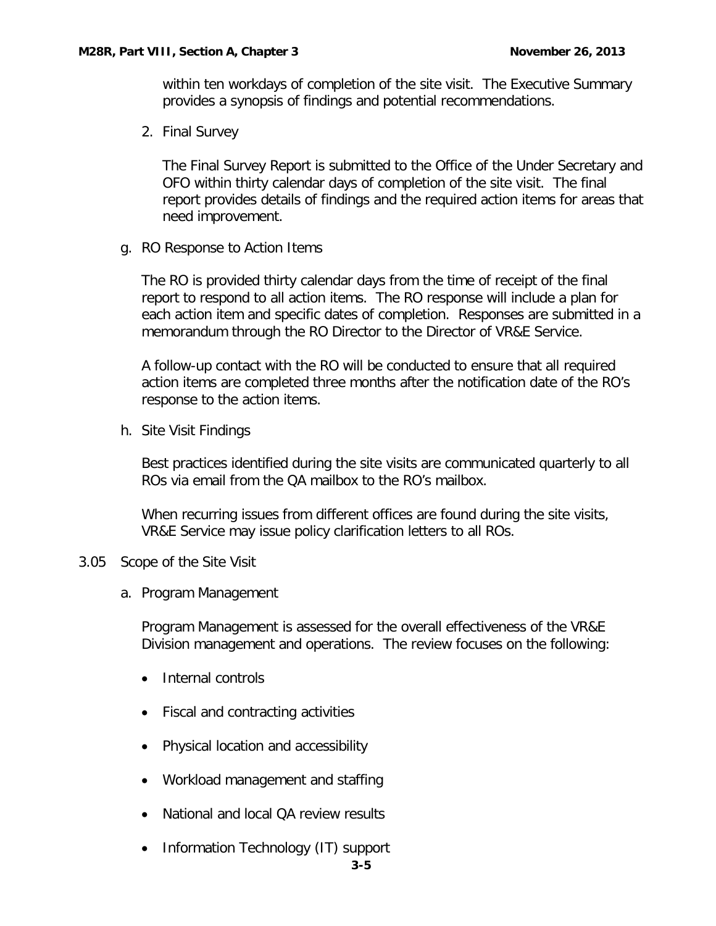within ten workdays of completion of the site visit. The Executive Summary provides a synopsis of findings and potential recommendations.

2. Final Survey

The Final Survey Report is submitted to the Office of the Under Secretary and OFO within thirty calendar days of completion of the site visit. The final report provides details of findings and the required action items for areas that need improvement.

<span id="page-5-0"></span>g. RO Response to Action Items

The RO is provided thirty calendar days from the time of receipt of the final report to respond to all action items. The RO response will include a plan for each action item and specific dates of completion. Responses are submitted in a memorandum through the RO Director to the Director of VR&E Service.

A follow-up contact with the RO will be conducted to ensure that all required action items are completed three months after the notification date of the RO's response to the action items.

<span id="page-5-1"></span>h. Site Visit Findings

Best practices identified during the site visits are communicated quarterly to all ROs via email from the QA mailbox to the RO's mailbox.

When recurring issues from different offices are found during the site visits, VR&E Service may issue policy clarification letters to all ROs.

#### <span id="page-5-3"></span><span id="page-5-2"></span>3.05 Scope of the Site Visit

a. Program Management

Program Management is assessed for the overall effectiveness of the VR&E Division management and operations. The review focuses on the following:

- Internal controls
- Fiscal and contracting activities
- Physical location and accessibility
- Workload management and staffing
- National and local QA review results
- Information Technology (IT) support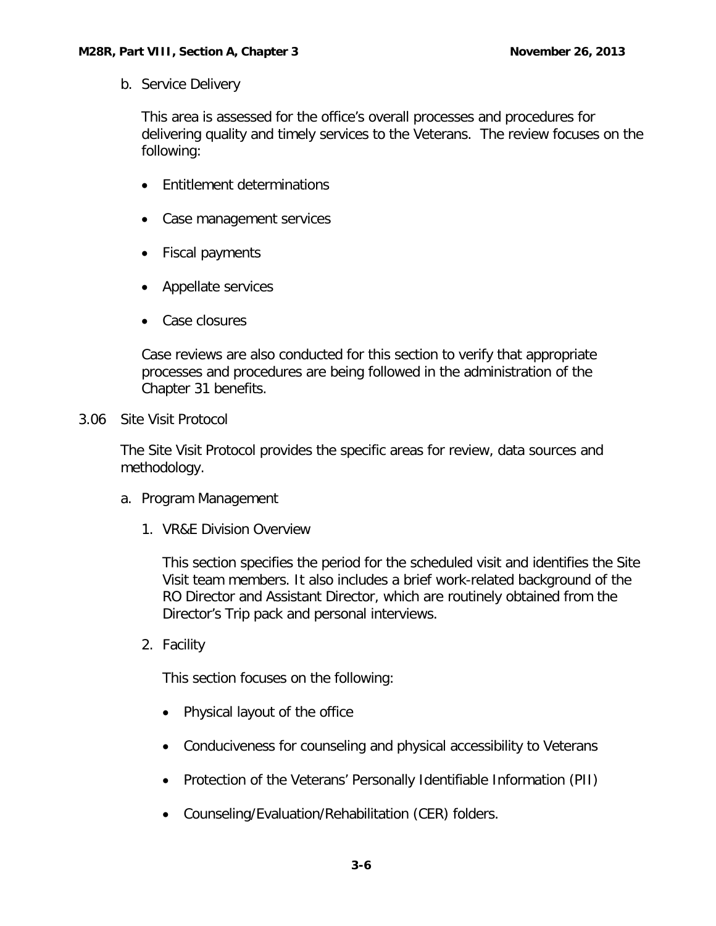<span id="page-6-0"></span>b. Service Delivery

This area is assessed for the office's overall processes and procedures for delivering quality and timely services to the Veterans. The review focuses on the following:

- Entitlement determinations
- Case management services
- Fiscal payments
- Appellate services
- Case closures

Case reviews are also conducted for this section to verify that appropriate processes and procedures are being followed in the administration of the Chapter 31 benefits.

<span id="page-6-1"></span>3.06 Site Visit Protocol

The Site Visit Protocol provides the specific areas for review, data sources and methodology.

- <span id="page-6-2"></span>a. Program Management
	- 1. VR&E Division Overview

This section specifies the period for the scheduled visit and identifies the Site Visit team members. It also includes a brief work-related background of the RO Director and Assistant Director, which are routinely obtained from the Director's Trip pack and personal interviews.

2. Facility

This section focuses on the following:

- Physical layout of the office
- Conduciveness for counseling and physical accessibility to Veterans
- Protection of the Veterans' Personally Identifiable Information (PII)
- Counseling/Evaluation/Rehabilitation (CER) folders.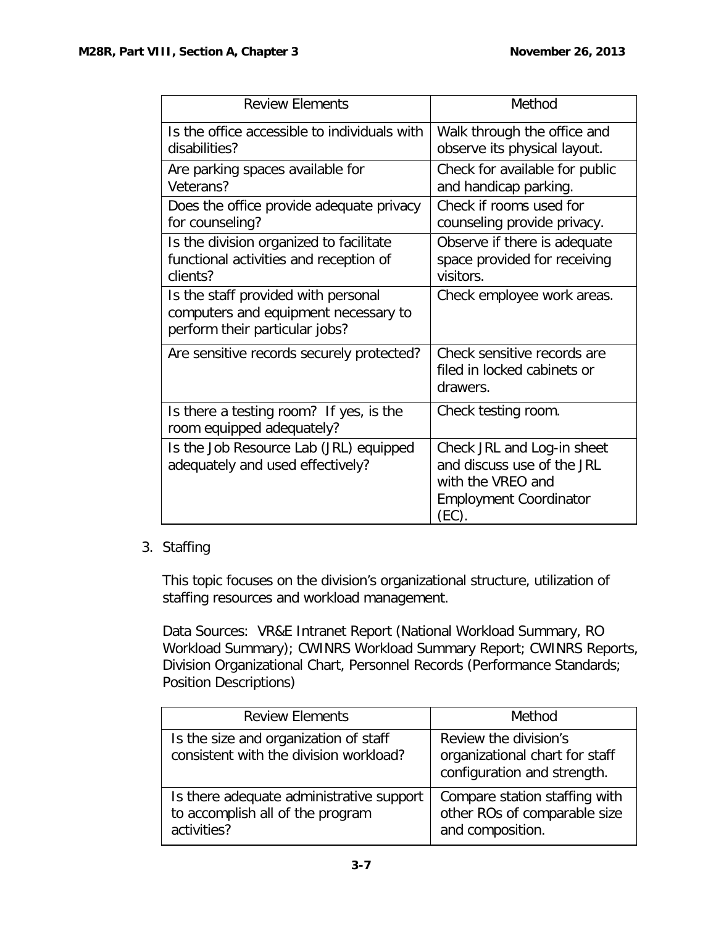| <b>Review Elements</b>                                                                                        | Method                                                                                                                  |
|---------------------------------------------------------------------------------------------------------------|-------------------------------------------------------------------------------------------------------------------------|
| Is the office accessible to individuals with<br>disabilities?                                                 | Walk through the office and<br>observe its physical layout.                                                             |
| Are parking spaces available for<br>Veterans?                                                                 | Check for available for public<br>and handicap parking.                                                                 |
| Does the office provide adequate privacy<br>for counseling?                                                   | Check if rooms used for<br>counseling provide privacy.                                                                  |
| Is the division organized to facilitate<br>functional activities and reception of<br>clients?                 | Observe if there is adequate<br>space provided for receiving<br>visitors.                                               |
| Is the staff provided with personal<br>computers and equipment necessary to<br>perform their particular jobs? | Check employee work areas.                                                                                              |
| Are sensitive records securely protected?                                                                     | Check sensitive records are<br>filed in locked cabinets or<br>drawers.                                                  |
| Is there a testing room? If yes, is the<br>room equipped adequately?                                          | Check testing room.                                                                                                     |
| Is the Job Resource Lab (JRL) equipped<br>adequately and used effectively?                                    | Check JRL and Log-in sheet<br>and discuss use of the JRL<br>with the VREO and<br><b>Employment Coordinator</b><br>(EC). |

## 3. Staffing

This topic focuses on the division's organizational structure, utilization of staffing resources and workload management.

Data Sources: VR&E Intranet Report (National Workload Summary, RO Workload Summary); CWINRS Workload Summary Report; CWINRS Reports, Division Organizational Chart, Personnel Records (Performance Standards; Position Descriptions)

| <b>Review Elements</b>                                                                      | Method                                                                                 |
|---------------------------------------------------------------------------------------------|----------------------------------------------------------------------------------------|
| Is the size and organization of staff<br>consistent with the division workload?             | Review the division's<br>organizational chart for staff<br>configuration and strength. |
| Is there adequate administrative support<br>to accomplish all of the program<br>activities? | Compare station staffing with<br>other ROs of comparable size<br>and composition.      |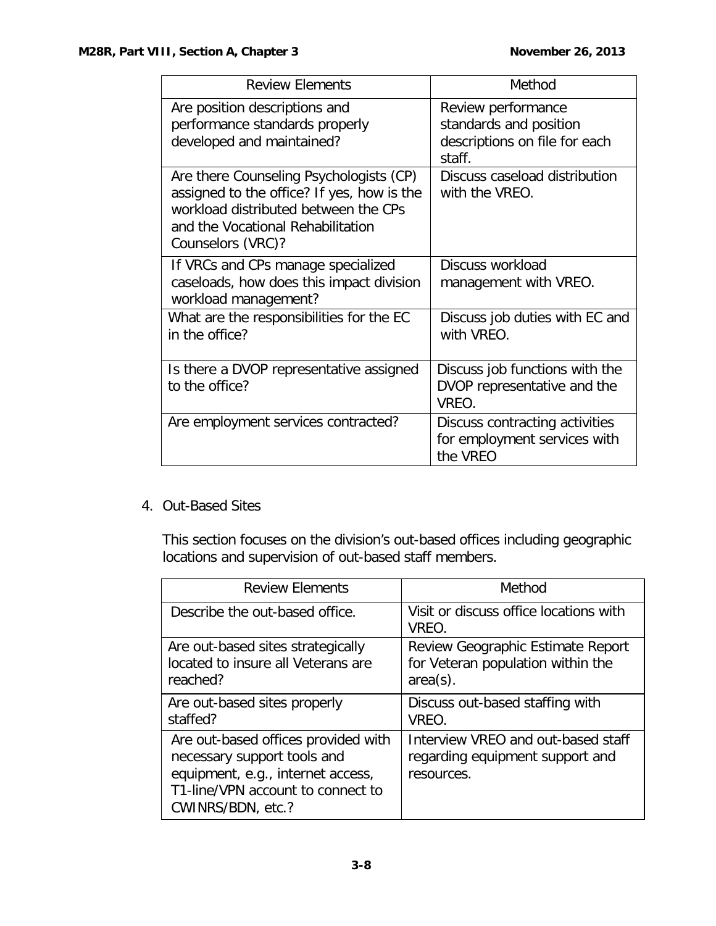| <b>Review Elements</b>                                                                                                                                                                  | Method                                                                                  |
|-----------------------------------------------------------------------------------------------------------------------------------------------------------------------------------------|-----------------------------------------------------------------------------------------|
| Are position descriptions and<br>performance standards properly<br>developed and maintained?                                                                                            | Review performance<br>standards and position<br>descriptions on file for each<br>staff. |
| Are there Counseling Psychologists (CP)<br>assigned to the office? If yes, how is the<br>workload distributed between the CPs<br>and the Vocational Rehabilitation<br>Counselors (VRC)? | Discuss caseload distribution<br>with the VREO.                                         |
| If VRCs and CPs manage specialized<br>caseloads, how does this impact division<br>workload management?                                                                                  | Discuss workload<br>management with VREO.                                               |
| What are the responsibilities for the EC<br>in the office?                                                                                                                              | Discuss job duties with EC and<br>with VREO.                                            |
| Is there a DVOP representative assigned<br>to the office?                                                                                                                               | Discuss job functions with the<br>DVOP representative and the<br>VREO.                  |
| Are employment services contracted?                                                                                                                                                     | Discuss contracting activities<br>for employment services with<br>the VREO              |

4. Out-Based Sites

This section focuses on the division's out-based offices including geographic locations and supervision of out-based staff members.

| <b>Review Elements</b>                                                                                                                                            | Method                                                                                |
|-------------------------------------------------------------------------------------------------------------------------------------------------------------------|---------------------------------------------------------------------------------------|
| Describe the out-based office.                                                                                                                                    | Visit or discuss office locations with<br>VREO.                                       |
| Are out-based sites strategically<br>located to insure all Veterans are<br>reached?                                                                               | Review Geographic Estimate Report<br>for Veteran population within the<br>$area(s)$ . |
| Are out-based sites properly<br>staffed?                                                                                                                          | Discuss out-based staffing with<br>VREO.                                              |
| Are out-based offices provided with<br>necessary support tools and<br>equipment, e.g., internet access,<br>T1-line/VPN account to connect to<br>CWINRS/BDN, etc.? | Interview VREO and out-based staff<br>regarding equipment support and<br>resources.   |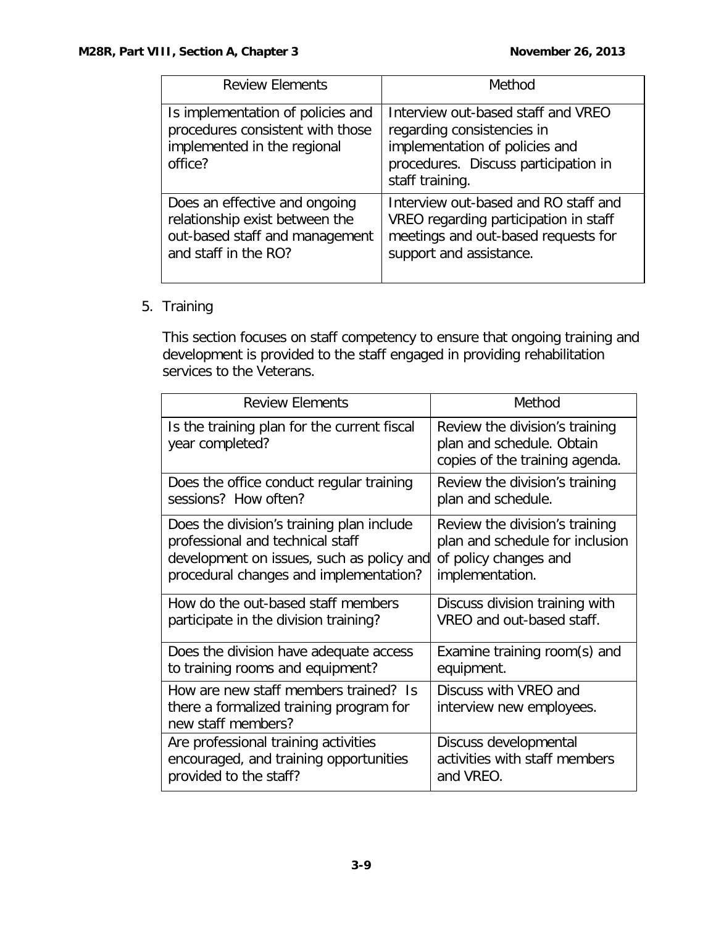| <b>Review Elements</b>                                                                                                    | Method                                                                                                                                                        |
|---------------------------------------------------------------------------------------------------------------------------|---------------------------------------------------------------------------------------------------------------------------------------------------------------|
| Is implementation of policies and<br>procedures consistent with those<br>implemented in the regional<br>office?           | Interview out-based staff and VREO<br>regarding consistencies in<br>implementation of policies and<br>procedures. Discuss participation in<br>staff training. |
| Does an effective and ongoing<br>relationship exist between the<br>out-based staff and management<br>and staff in the RO? | Interview out-based and RO staff and<br>VREO regarding participation in staff<br>meetings and out-based requests for<br>support and assistance.               |

# 5. Training

This section focuses on staff competency to ensure that ongoing training and development is provided to the staff engaged in providing rehabilitation services to the Veterans.

| <b>Review Flements</b>                                                                                 | Method                                                                                        |
|--------------------------------------------------------------------------------------------------------|-----------------------------------------------------------------------------------------------|
| Is the training plan for the current fiscal<br>year completed?                                         | Review the division's training<br>plan and schedule. Obtain<br>copies of the training agenda. |
| Does the office conduct regular training                                                               | Review the division's training                                                                |
| sessions? How often?                                                                                   | plan and schedule.                                                                            |
| Does the division's training plan include                                                              | Review the division's training                                                                |
| professional and technical staff                                                                       | plan and schedule for inclusion                                                               |
| development on issues, such as policy and                                                              | of policy changes and                                                                         |
| procedural changes and implementation?                                                                 | implementation.                                                                               |
| How do the out-based staff members                                                                     | Discuss division training with                                                                |
| participate in the division training?                                                                  | VREO and out-based staff.                                                                     |
| Does the division have adequate access                                                                 | Examine training room(s) and                                                                  |
| to training rooms and equipment?                                                                       | equipment.                                                                                    |
| How are new staff members trained? Is<br>there a formalized training program for<br>new staff members? | Discuss with VREO and<br>interview new employees.                                             |
| Are professional training activities                                                                   | Discuss developmental                                                                         |
| encouraged, and training opportunities                                                                 | activities with staff members                                                                 |
| provided to the staff?                                                                                 | and VREO.                                                                                     |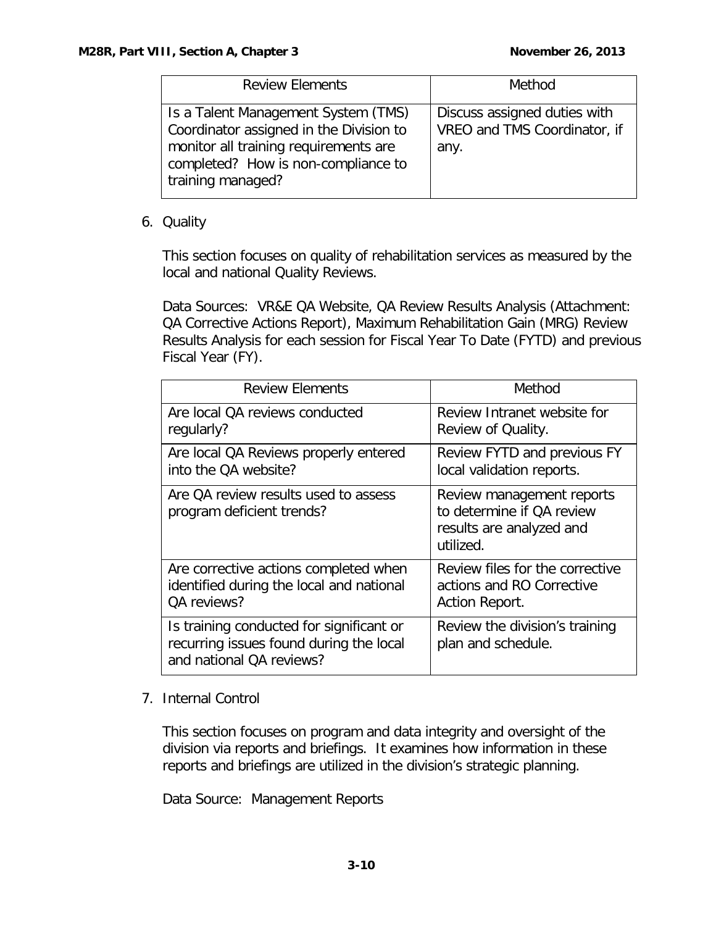| <b>Review Elements</b>                                                                                                                                                              | Method                                                               |
|-------------------------------------------------------------------------------------------------------------------------------------------------------------------------------------|----------------------------------------------------------------------|
| Is a Talent Management System (TMS)<br>Coordinator assigned in the Division to<br>monitor all training requirements are<br>completed? How is non-compliance to<br>training managed? | Discuss assigned duties with<br>VREO and TMS Coordinator, if<br>any. |

#### 6. Quality

This section focuses on quality of rehabilitation services as measured by the local and national Quality Reviews.

Data Sources: VR&E QA Website, QA Review Results Analysis (Attachment: QA Corrective Actions Report), Maximum Rehabilitation Gain (MRG) Review Results Analysis for each session for Fiscal Year To Date (FYTD) and previous Fiscal Year (FY).

| <b>Review Elements</b>                                                                                          | Method                                                                                          |
|-----------------------------------------------------------------------------------------------------------------|-------------------------------------------------------------------------------------------------|
| Are local QA reviews conducted                                                                                  | Review Intranet website for                                                                     |
| regularly?                                                                                                      | Review of Quality.                                                                              |
| Are local QA Reviews properly entered                                                                           | Review FYTD and previous FY                                                                     |
| into the OA website?                                                                                            | local validation reports.                                                                       |
| Are QA review results used to assess<br>program deficient trends?                                               | Review management reports<br>to determine if OA review<br>results are analyzed and<br>utilized. |
| Are corrective actions completed when                                                                           | Review files for the corrective                                                                 |
| identified during the local and national                                                                        | actions and RO Corrective                                                                       |
| OA reviews?                                                                                                     | Action Report.                                                                                  |
| Is training conducted for significant or<br>recurring issues found during the local<br>and national QA reviews? | Review the division's training<br>plan and schedule.                                            |

#### 7. Internal Control

This section focuses on program and data integrity and oversight of the division via reports and briefings. It examines how information in these reports and briefings are utilized in the division's strategic planning.

Data Source: Management Reports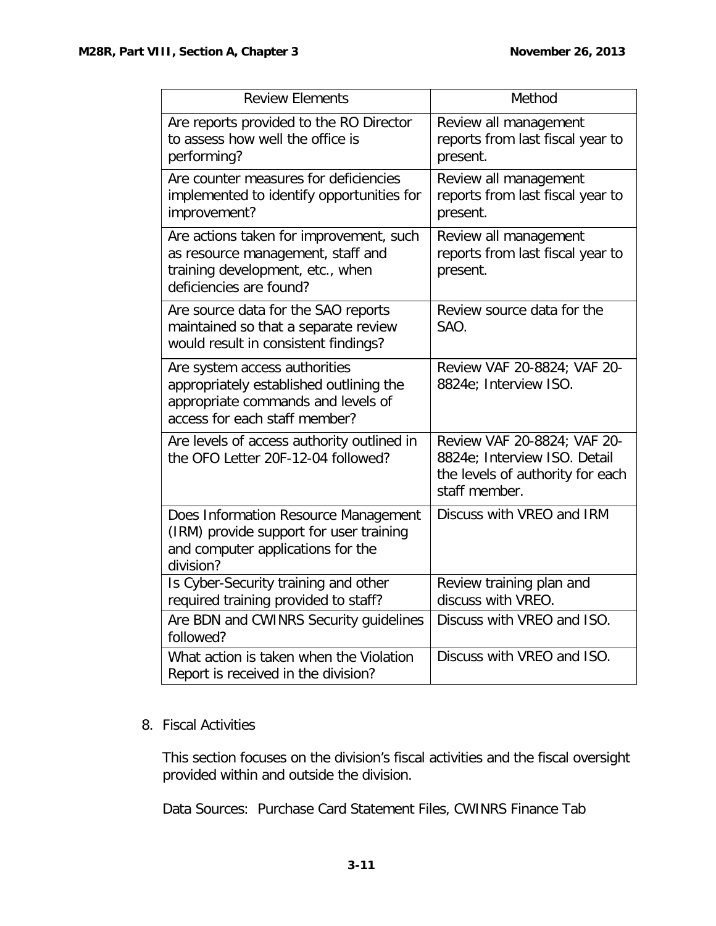| <b>Review Elements</b>                                                                                                                          | Method                                                                                                           |
|-------------------------------------------------------------------------------------------------------------------------------------------------|------------------------------------------------------------------------------------------------------------------|
| Are reports provided to the RO Director<br>to assess how well the office is<br>performing?                                                      | Review all management<br>reports from last fiscal year to<br>present.                                            |
| Are counter measures for deficiencies<br>implemented to identify opportunities for<br>improvement?                                              | Review all management<br>reports from last fiscal year to<br>present.                                            |
| Are actions taken for improvement, such<br>as resource management, staff and<br>training development, etc., when<br>deficiencies are found?     | Review all management<br>reports from last fiscal year to<br>present.                                            |
| Are source data for the SAO reports<br>maintained so that a separate review<br>would result in consistent findings?                             | Review source data for the<br>SAO.                                                                               |
| Are system access authorities<br>appropriately established outlining the<br>appropriate commands and levels of<br>access for each staff member? | Review VAF 20-8824; VAF 20-<br>8824e; Interview ISO.                                                             |
| Are levels of access authority outlined in<br>the OFO Letter 20F-12-04 followed?                                                                | Review VAF 20-8824; VAF 20-<br>8824e; Interview ISO. Detail<br>the levels of authority for each<br>staff member. |
| Does Information Resource Management<br>(IRM) provide support for user training<br>and computer applications for the<br>division?               | Discuss with VREO and IRM                                                                                        |
| Is Cyber-Security training and other<br>required training provided to staff?                                                                    | Review training plan and<br>discuss with VREO.                                                                   |
| Are BDN and CWINRS Security guidelines<br>followed?                                                                                             | Discuss with VREO and ISO.                                                                                       |
| What action is taken when the Violation<br>Report is received in the division?                                                                  | Discuss with VREO and ISO.                                                                                       |

#### 8. Fiscal Activities

This section focuses on the division's fiscal activities and the fiscal oversight provided within and outside the division.

Data Sources: Purchase Card Statement Files, CWINRS Finance Tab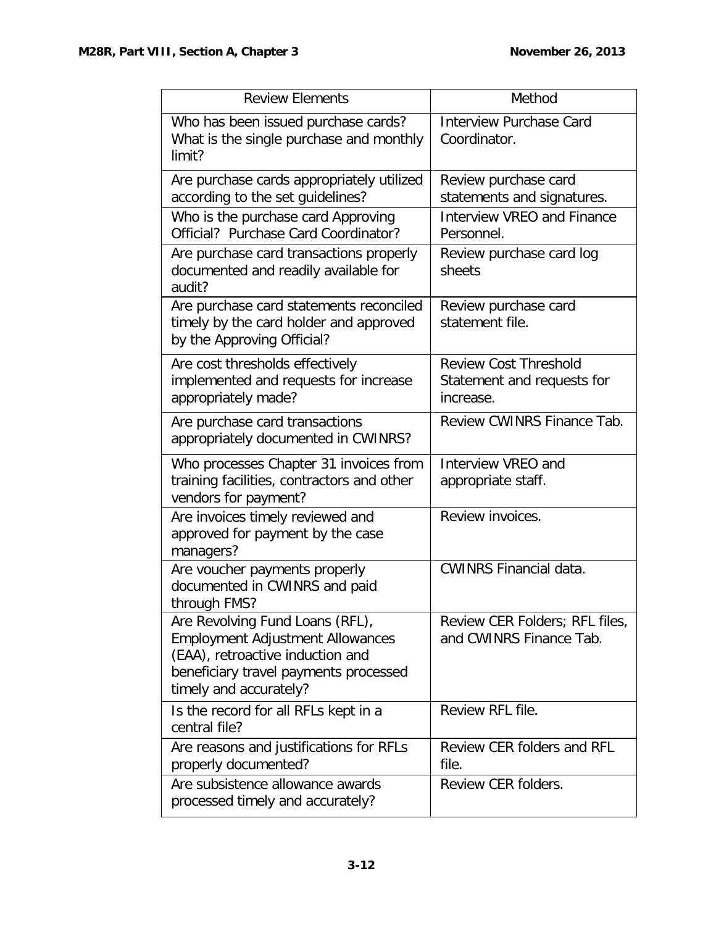| <b>Review Elements</b>                                                                                                                                                            | Method                                                                  |
|-----------------------------------------------------------------------------------------------------------------------------------------------------------------------------------|-------------------------------------------------------------------------|
| Who has been issued purchase cards?<br>What is the single purchase and monthly<br>limit?                                                                                          | <b>Interview Purchase Card</b><br>Coordinator.                          |
| Are purchase cards appropriately utilized<br>according to the set guidelines?                                                                                                     | Review purchase card<br>statements and signatures.                      |
| Who is the purchase card Approving<br>Official? Purchase Card Coordinator?                                                                                                        | <b>Interview VREO and Finance</b><br>Personnel.                         |
| Are purchase card transactions properly<br>documented and readily available for<br>audit?                                                                                         | Review purchase card log<br>sheets                                      |
| Are purchase card statements reconciled<br>timely by the card holder and approved<br>by the Approving Official?                                                                   | Review purchase card<br>statement file.                                 |
| Are cost thresholds effectively<br>implemented and requests for increase<br>appropriately made?                                                                                   | <b>Review Cost Threshold</b><br>Statement and requests for<br>increase. |
| Are purchase card transactions<br>appropriately documented in CWINRS?                                                                                                             | Review CWINRS Finance Tab.                                              |
| Who processes Chapter 31 invoices from<br>training facilities, contractors and other<br>vendors for payment?                                                                      | Interview VREO and<br>appropriate staff.                                |
| Are invoices timely reviewed and<br>approved for payment by the case<br>managers?                                                                                                 | Review invoices.                                                        |
| Are voucher payments properly<br>documented in CWINRS and paid<br>through FMS?                                                                                                    | <b>CWINRS Financial data.</b>                                           |
| Are Revolving Fund Loans (RFL),<br><b>Employment Adjustment Allowances</b><br>(EAA), retroactive induction and<br>beneficiary travel payments processed<br>timely and accurately? | Review CER Folders; RFL files,<br>and CWINRS Finance Tab.               |
| Is the record for all RFLs kept in a<br>central file?                                                                                                                             | Review RFL file.                                                        |
| Are reasons and justifications for RFLs<br>properly documented?                                                                                                                   | <b>Review CER folders and RFL</b><br>file.                              |
| Are subsistence allowance awards<br>processed timely and accurately?                                                                                                              | Review CER folders.                                                     |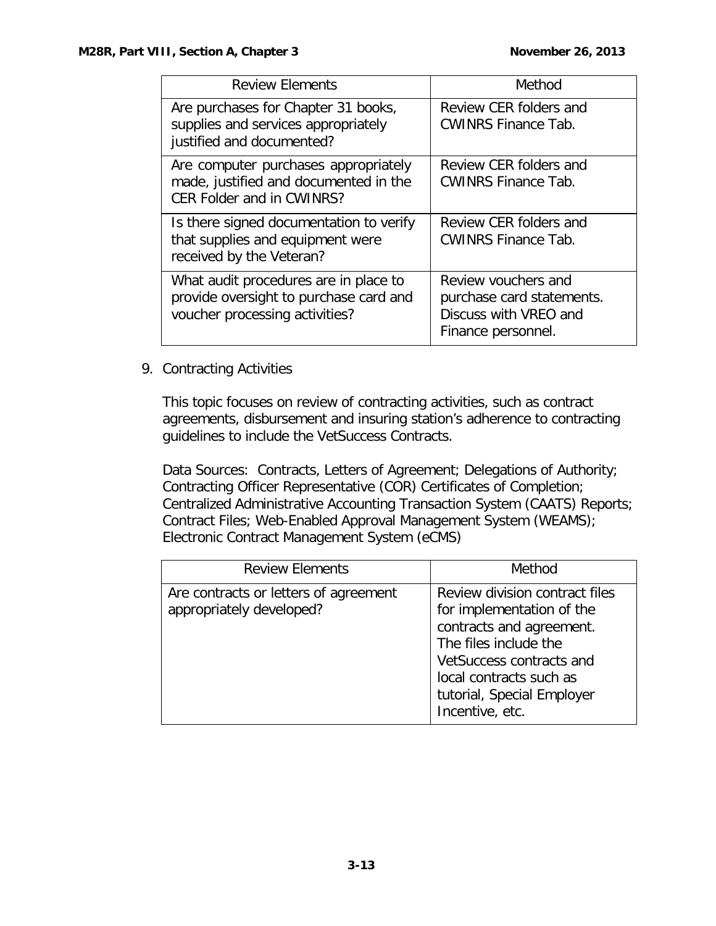| <b>Review Elements</b>                                                                                            | Method                                                                                          |
|-------------------------------------------------------------------------------------------------------------------|-------------------------------------------------------------------------------------------------|
| Are purchases for Chapter 31 books,<br>supplies and services appropriately<br>justified and documented?           | Review CER folders and<br><b>CWINRS Finance Tab.</b>                                            |
| Are computer purchases appropriately<br>made, justified and documented in the<br><b>CER Folder and in CWINRS?</b> | Review CER folders and<br><b>CWINRS Finance Tab.</b>                                            |
| Is there signed documentation to verify<br>that supplies and equipment were<br>received by the Veteran?           | Review CER folders and<br><b>CWINRS Finance Tab.</b>                                            |
| What audit procedures are in place to<br>provide oversight to purchase card and<br>voucher processing activities? | Review youchers and<br>purchase card statements.<br>Discuss with VREO and<br>Finance personnel. |

#### 9. Contracting Activities

This topic focuses on review of contracting activities, such as contract agreements, disbursement and insuring station's adherence to contracting guidelines to include the VetSuccess Contracts.

Data Sources: Contracts, Letters of Agreement; Delegations of Authority; Contracting Officer Representative (COR) Certificates of Completion; Centralized Administrative Accounting Transaction System (CAATS) Reports; Contract Files; Web-Enabled Approval Management System (WEAMS); Electronic Contract Management System (eCMS)

| <b>Review Elements</b>                                            | Method                                                                                                                                                                                                                   |
|-------------------------------------------------------------------|--------------------------------------------------------------------------------------------------------------------------------------------------------------------------------------------------------------------------|
| Are contracts or letters of agreement<br>appropriately developed? | Review division contract files<br>for implementation of the<br>contracts and agreement.<br>The files include the<br>VetSuccess contracts and<br>local contracts such as<br>tutorial, Special Employer<br>Incentive, etc. |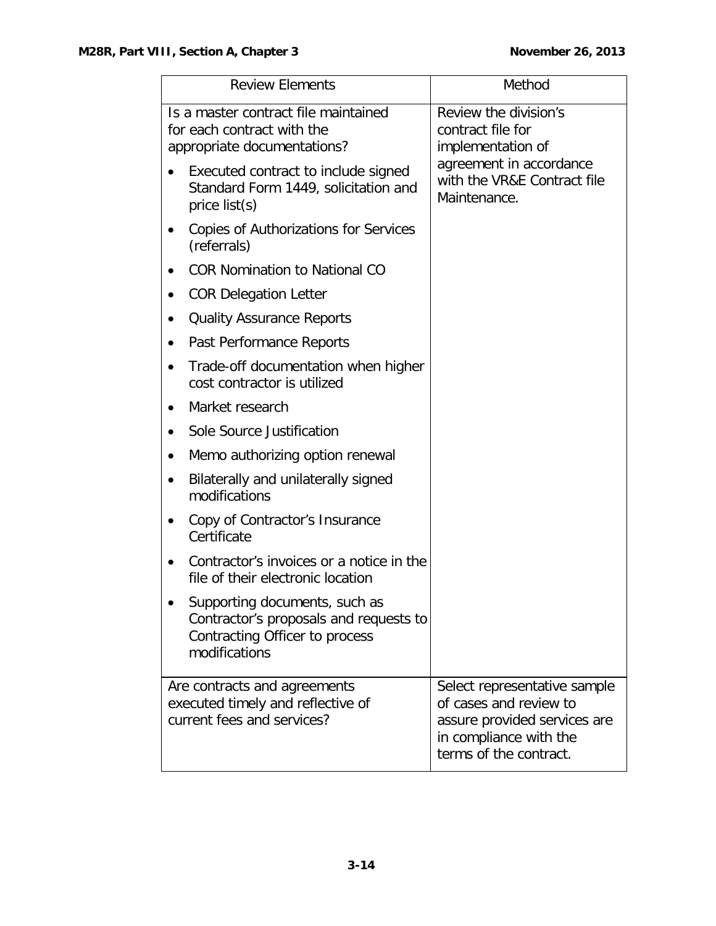| <b>Review Elements</b>                                                                                                     | Method                                                                                                                                     |
|----------------------------------------------------------------------------------------------------------------------------|--------------------------------------------------------------------------------------------------------------------------------------------|
| Is a master contract file maintained<br>for each contract with the<br>appropriate documentations?                          | Review the division's<br>contract file for<br>implementation of                                                                            |
| Executed contract to include signed<br>Standard Form 1449, solicitation and<br>price $list(s)$                             | agreement in accordance<br>with the VR&E Contract file<br>Maintenance.                                                                     |
| <b>Copies of Authorizations for Services</b><br>(referrals)                                                                |                                                                                                                                            |
| <b>COR Nomination to National CO</b>                                                                                       |                                                                                                                                            |
| <b>COR Delegation Letter</b>                                                                                               |                                                                                                                                            |
| <b>Quality Assurance Reports</b><br>٠                                                                                      |                                                                                                                                            |
| Past Performance Reports                                                                                                   |                                                                                                                                            |
| Trade-off documentation when higher<br>cost contractor is utilized                                                         |                                                                                                                                            |
| Market research<br>$\bullet$                                                                                               |                                                                                                                                            |
| Sole Source Justification                                                                                                  |                                                                                                                                            |
| Memo authorizing option renewal                                                                                            |                                                                                                                                            |
| Bilaterally and unilaterally signed<br>modifications                                                                       |                                                                                                                                            |
| Copy of Contractor's Insurance<br>Certificate                                                                              |                                                                                                                                            |
| Contractor's invoices or a notice in the<br>file of their electronic location                                              |                                                                                                                                            |
| Supporting documents, such as<br>Contractor's proposals and requests to<br>Contracting Officer to process<br>modifications |                                                                                                                                            |
| Are contracts and agreements<br>executed timely and reflective of<br>current fees and services?                            | Select representative sample<br>of cases and review to<br>assure provided services are<br>in compliance with the<br>terms of the contract. |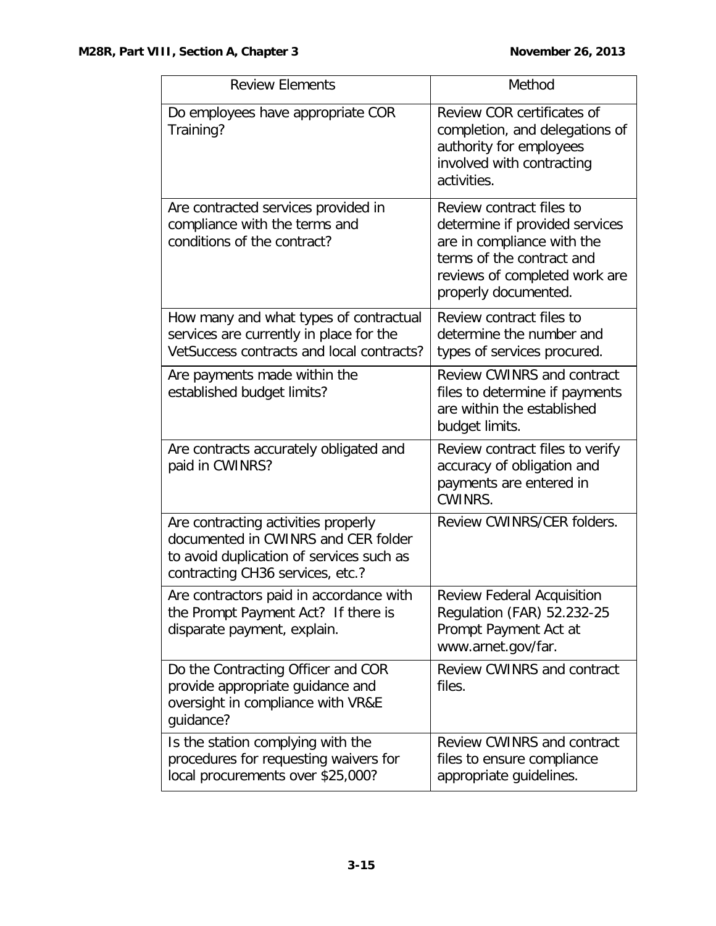| <b>Review Elements</b>                                                                                                                                     | Method                                                                                                                                                                         |
|------------------------------------------------------------------------------------------------------------------------------------------------------------|--------------------------------------------------------------------------------------------------------------------------------------------------------------------------------|
| Do employees have appropriate COR<br>Training?                                                                                                             | Review COR certificates of<br>completion, and delegations of<br>authority for employees<br>involved with contracting<br>activities.                                            |
| Are contracted services provided in<br>compliance with the terms and<br>conditions of the contract?                                                        | Review contract files to<br>determine if provided services<br>are in compliance with the<br>terms of the contract and<br>reviews of completed work are<br>properly documented. |
| How many and what types of contractual<br>services are currently in place for the<br>VetSuccess contracts and local contracts?                             | Review contract files to<br>determine the number and<br>types of services procured.                                                                                            |
| Are payments made within the<br>established budget limits?                                                                                                 | <b>Review CWINRS and contract</b><br>files to determine if payments<br>are within the established<br>budget limits.                                                            |
| Are contracts accurately obligated and<br>paid in CWINRS?                                                                                                  | Review contract files to verify<br>accuracy of obligation and<br>payments are entered in<br>CWINRS.                                                                            |
| Are contracting activities properly<br>documented in CWINRS and CER folder<br>to avoid duplication of services such as<br>contracting CH36 services, etc.? | Review CWINRS/CER folders.                                                                                                                                                     |
| Are contractors paid in accordance with<br>the Prompt Payment Act? If there is<br>disparate payment, explain.                                              | <b>Review Federal Acquisition</b><br>Regulation (FAR) 52.232-25<br>Prompt Payment Act at<br>www.arnet.gov/far.                                                                 |
| Do the Contracting Officer and COR<br>provide appropriate guidance and<br>oversight in compliance with VR&E<br>guidance?                                   | <b>Review CWINRS and contract</b><br>files.                                                                                                                                    |
| Is the station complying with the<br>procedures for requesting waivers for<br>local procurements over \$25,000?                                            | <b>Review CWINRS and contract</b><br>files to ensure compliance<br>appropriate guidelines.                                                                                     |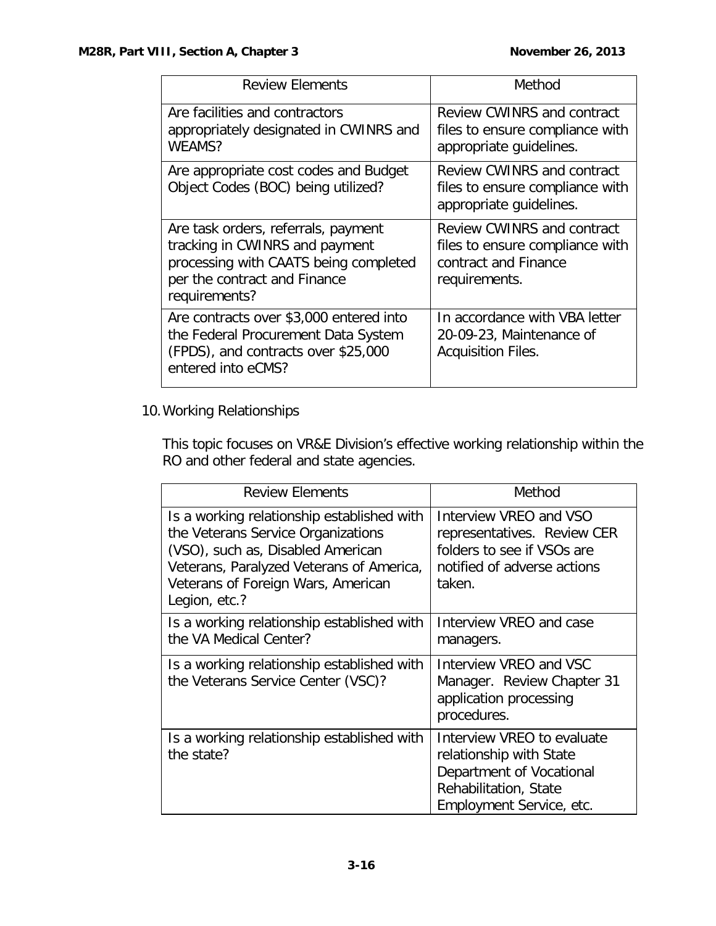| <b>Review Elements</b>                                                                                                                                          | Method                                                                                                        |
|-----------------------------------------------------------------------------------------------------------------------------------------------------------------|---------------------------------------------------------------------------------------------------------------|
| Are facilities and contractors<br>appropriately designated in CWINRS and<br>WEAMS?                                                                              | <b>Review CWINRS and contract</b><br>files to ensure compliance with<br>appropriate guidelines.               |
| Are appropriate cost codes and Budget<br>Object Codes (BOC) being utilized?                                                                                     | Review CWINRS and contract<br>files to ensure compliance with<br>appropriate guidelines.                      |
| Are task orders, referrals, payment<br>tracking in CWINRS and payment<br>processing with CAATS being completed<br>per the contract and Finance<br>requirements? | <b>Review CWINRS and contract</b><br>files to ensure compliance with<br>contract and Finance<br>requirements. |
| Are contracts over \$3,000 entered into<br>the Federal Procurement Data System<br>(FPDS), and contracts over \$25,000<br>entered into eCMS?                     | In accordance with VBA letter<br>20-09-23, Maintenance of<br><b>Acquisition Files.</b>                        |

# 10.Working Relationships

This topic focuses on VR&E Division's effective working relationship within the RO and other federal and state agencies.

| <b>Review Elements</b>                                                                                                                                                                                                   | Method                                                                                                                                 |
|--------------------------------------------------------------------------------------------------------------------------------------------------------------------------------------------------------------------------|----------------------------------------------------------------------------------------------------------------------------------------|
| Is a working relationship established with<br>the Veterans Service Organizations<br>(VSO), such as, Disabled American<br>Veterans, Paralyzed Veterans of America,<br>Veterans of Foreign Wars, American<br>Legion, etc.? | Interview VREO and VSO<br>representatives. Review CER<br>folders to see if VSOs are<br>notified of adverse actions<br>taken.           |
| Is a working relationship established with<br>the VA Medical Center?                                                                                                                                                     | Interview VREO and case<br>managers.                                                                                                   |
| Is a working relationship established with<br>the Veterans Service Center (VSC)?                                                                                                                                         | Interview VREO and VSC<br>Manager. Review Chapter 31<br>application processing<br>procedures.                                          |
| Is a working relationship established with<br>the state?                                                                                                                                                                 | Interview VREO to evaluate<br>relationship with State<br>Department of Vocational<br>Rehabilitation, State<br>Employment Service, etc. |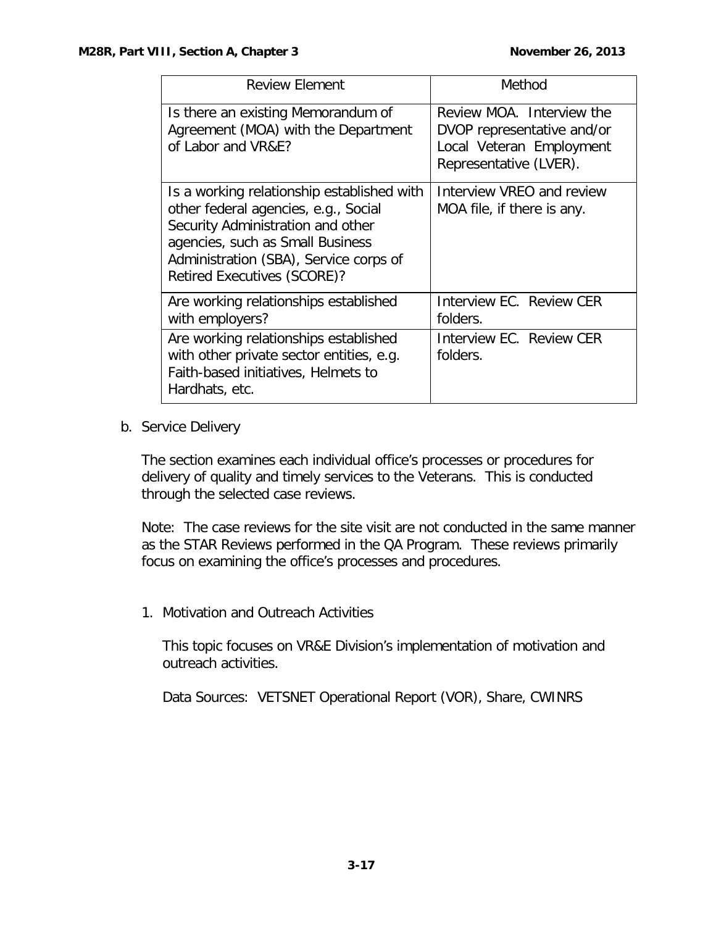| <b>Review Element</b>                                                                                                                                                                                                                       | Method                                                                                                        |
|---------------------------------------------------------------------------------------------------------------------------------------------------------------------------------------------------------------------------------------------|---------------------------------------------------------------------------------------------------------------|
| Is there an existing Memorandum of<br>Agreement (MOA) with the Department<br>of Labor and VR&E?                                                                                                                                             | Review MOA. Interview the<br>DVOP representative and/or<br>Local Veteran Employment<br>Representative (LVER). |
| Is a working relationship established with<br>other federal agencies, e.g., Social<br>Security Administration and other<br>agencies, such as Small Business<br>Administration (SBA), Service corps of<br><b>Retired Executives (SCORE)?</b> | Interview VREO and review<br>MOA file, if there is any.                                                       |
| Are working relationships established<br>with employers?                                                                                                                                                                                    | Interview EC. Review CER<br>folders.                                                                          |
| Are working relationships established<br>with other private sector entities, e.g.<br>Faith-based initiatives, Helmets to<br>Hardhats, etc.                                                                                                  | Interview EC. Review CER<br>folders.                                                                          |

<span id="page-17-0"></span>b. Service Delivery

The section examines each individual office's processes or procedures for delivery of quality and timely services to the Veterans. This is conducted through the selected case reviews.

Note: The case reviews for the site visit are not conducted in the same manner as the STAR Reviews performed in the QA Program. These reviews primarily focus on examining the office's processes and procedures.

1. Motivation and Outreach Activities

This topic focuses on VR&E Division's implementation of motivation and outreach activities.

Data Sources: VETSNET Operational Report (VOR), Share, CWINRS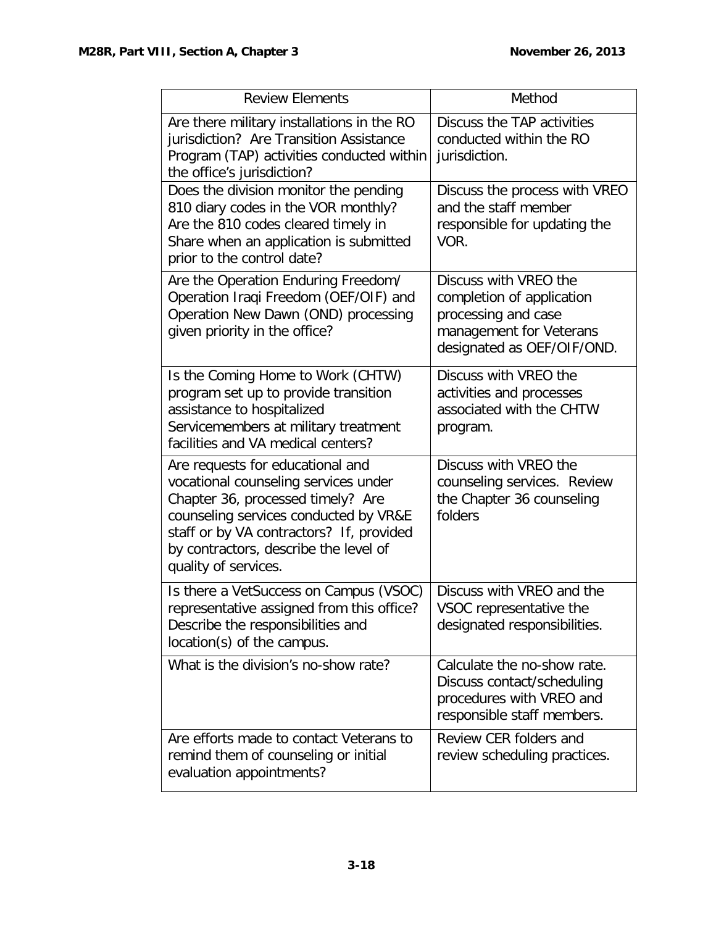| <b>Review Elements</b>                                                                                                                                                                                                                                              | Method                                                                                                                             |
|---------------------------------------------------------------------------------------------------------------------------------------------------------------------------------------------------------------------------------------------------------------------|------------------------------------------------------------------------------------------------------------------------------------|
| Are there military installations in the RO<br>jurisdiction? Are Transition Assistance<br>Program (TAP) activities conducted within<br>the office's jurisdiction?                                                                                                    | Discuss the TAP activities<br>conducted within the RO<br>jurisdiction.                                                             |
| Does the division monitor the pending<br>810 diary codes in the VOR monthly?<br>Are the 810 codes cleared timely in<br>Share when an application is submitted<br>prior to the control date?                                                                         | Discuss the process with VREO<br>and the staff member<br>responsible for updating the<br>VOR.                                      |
| Are the Operation Enduring Freedom/<br>Operation Iraqi Freedom (OEF/OIF) and<br>Operation New Dawn (OND) processing<br>given priority in the office?                                                                                                                | Discuss with VREO the<br>completion of application<br>processing and case<br>management for Veterans<br>designated as OEF/OIF/OND. |
| Is the Coming Home to Work (CHTW)<br>program set up to provide transition<br>assistance to hospitalized<br>Servicemembers at military treatment<br>facilities and VA medical centers?                                                                               | Discuss with VREO the<br>activities and processes<br>associated with the CHTW<br>program.                                          |
| Are requests for educational and<br>vocational counseling services under<br>Chapter 36, processed timely? Are<br>counseling services conducted by VR&E<br>staff or by VA contractors? If, provided<br>by contractors, describe the level of<br>quality of services. | Discuss with VREO the<br>counseling services. Review<br>the Chapter 36 counseling<br>folders                                       |
| Is there a VetSuccess on Campus (VSOC)<br>representative assigned from this office?<br>Describe the responsibilities and<br>location(s) of the campus.                                                                                                              | Discuss with VREO and the<br>VSOC representative the<br>designated responsibilities.                                               |
| What is the division's no-show rate?                                                                                                                                                                                                                                | Calculate the no-show rate.<br>Discuss contact/scheduling<br>procedures with VREO and<br>responsible staff members.                |
| Are efforts made to contact Veterans to<br>remind them of counseling or initial<br>evaluation appointments?                                                                                                                                                         | Review CER folders and<br>review scheduling practices.                                                                             |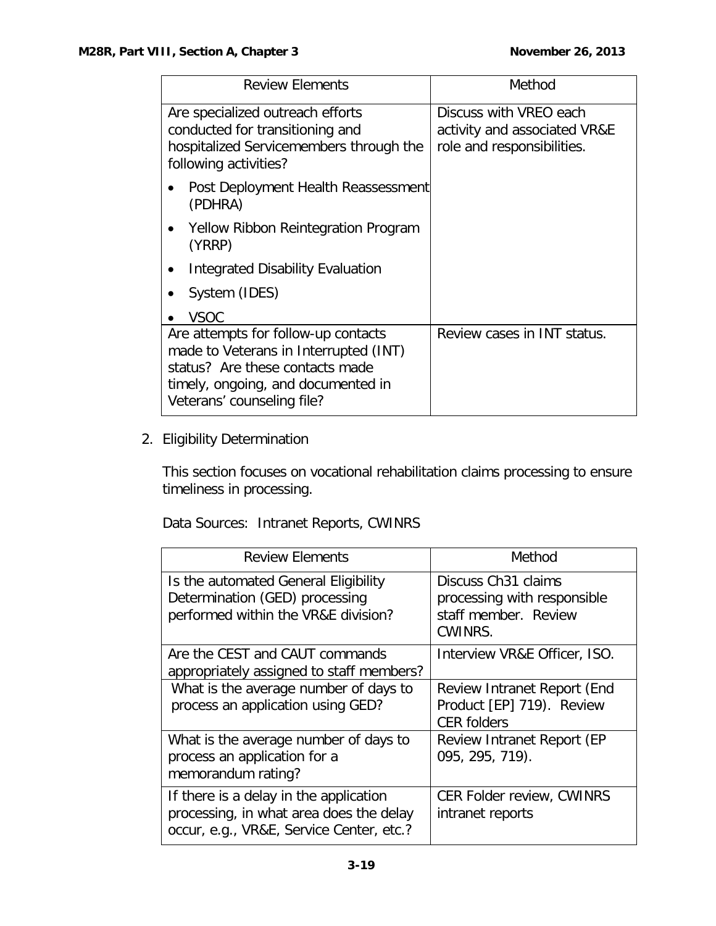| <b>Review Elements</b>                                                                                                                                                              | Method                                                                               |
|-------------------------------------------------------------------------------------------------------------------------------------------------------------------------------------|--------------------------------------------------------------------------------------|
| Are specialized outreach efforts<br>conducted for transitioning and<br>hospitalized Servicemembers through the<br>following activities?                                             | Discuss with VREO each<br>activity and associated VR&E<br>role and responsibilities. |
| Post Deployment Health Reassessment<br>(PDHRA)                                                                                                                                      |                                                                                      |
| Yellow Ribbon Reintegration Program<br>(YRRP)                                                                                                                                       |                                                                                      |
| Integrated Disability Evaluation                                                                                                                                                    |                                                                                      |
| System (IDES)                                                                                                                                                                       |                                                                                      |
| <b>VSOC</b>                                                                                                                                                                         |                                                                                      |
| Are attempts for follow-up contacts<br>made to Veterans in Interrupted (INT)<br>status? Are these contacts made<br>timely, ongoing, and documented in<br>Veterans' counseling file? | Review cases in INT status.                                                          |

2. Eligibility Determination

This section focuses on vocational rehabilitation claims processing to ensure timeliness in processing.

Data Sources: Intranet Reports, CWINRS

| <b>Review Elements</b>                                                                                                        | Method                                                                                            |
|-------------------------------------------------------------------------------------------------------------------------------|---------------------------------------------------------------------------------------------------|
| Is the automated General Eligibility<br>Determination (GED) processing<br>performed within the VR&E division?                 | Discuss Ch <sub>31</sub> claims<br>processing with responsible<br>staff member. Review<br>CWINRS. |
| Are the CEST and CAUT commands<br>appropriately assigned to staff members?                                                    | Interview VR&E Officer, ISO.                                                                      |
| What is the average number of days to<br>process an application using GED?                                                    | Review Intranet Report (End<br>Product [EP] 719). Review<br><b>CER folders</b>                    |
| What is the average number of days to<br>process an application for a<br>memorandum rating?                                   | Review Intranet Report (EP<br>095, 295, 719).                                                     |
| If there is a delay in the application<br>processing, in what area does the delay<br>occur, e.g., VR&E, Service Center, etc.? | <b>CER Folder review, CWINRS</b><br>intranet reports                                              |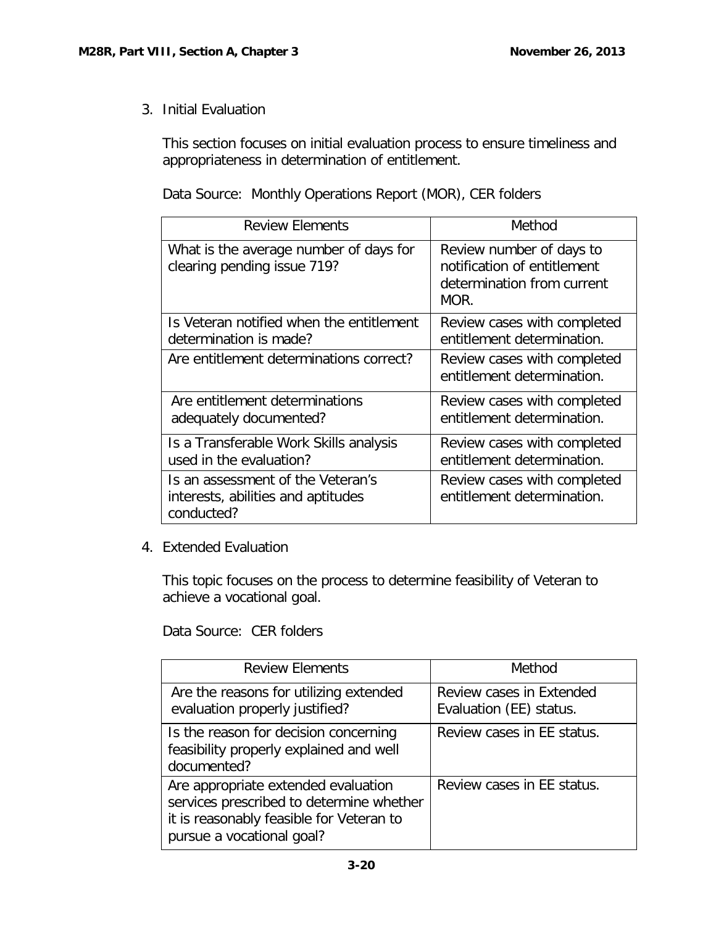3. Initial Evaluation

This section focuses on initial evaluation process to ensure timeliness and appropriateness in determination of entitlement.

## Data Source: Monthly Operations Report (MOR), CER folders

| <b>Review Elements</b>                                                                | Method                                                                                        |
|---------------------------------------------------------------------------------------|-----------------------------------------------------------------------------------------------|
| What is the average number of days for<br>clearing pending issue 719?                 | Review number of days to<br>notification of entitlement<br>determination from current<br>MOR. |
| Is Veteran notified when the entitlement<br>determination is made?                    | Review cases with completed<br>entitlement determination.                                     |
| Are entitlement determinations correct?                                               | Review cases with completed<br>entitlement determination.                                     |
| Are entitlement determinations<br>adequately documented?                              | Review cases with completed<br>entitlement determination.                                     |
| Is a Transferable Work Skills analysis<br>used in the evaluation?                     | Review cases with completed<br>entitlement determination.                                     |
| Is an assessment of the Veteran's<br>interests, abilities and aptitudes<br>conducted? | Review cases with completed<br>entitlement determination.                                     |

4. Extended Evaluation

This topic focuses on the process to determine feasibility of Veteran to achieve a vocational goal.

Data Source: CER folders

| <b>Review Elements</b>                                                                                                                                   | Method                                              |
|----------------------------------------------------------------------------------------------------------------------------------------------------------|-----------------------------------------------------|
| Are the reasons for utilizing extended<br>evaluation properly justified?                                                                                 | Review cases in Extended<br>Evaluation (EE) status. |
| Is the reason for decision concerning<br>feasibility properly explained and well<br>documented?                                                          | Review cases in EE status.                          |
| Are appropriate extended evaluation<br>services prescribed to determine whether<br>it is reasonably feasible for Veteran to<br>pursue a vocational goal? | Review cases in EE status.                          |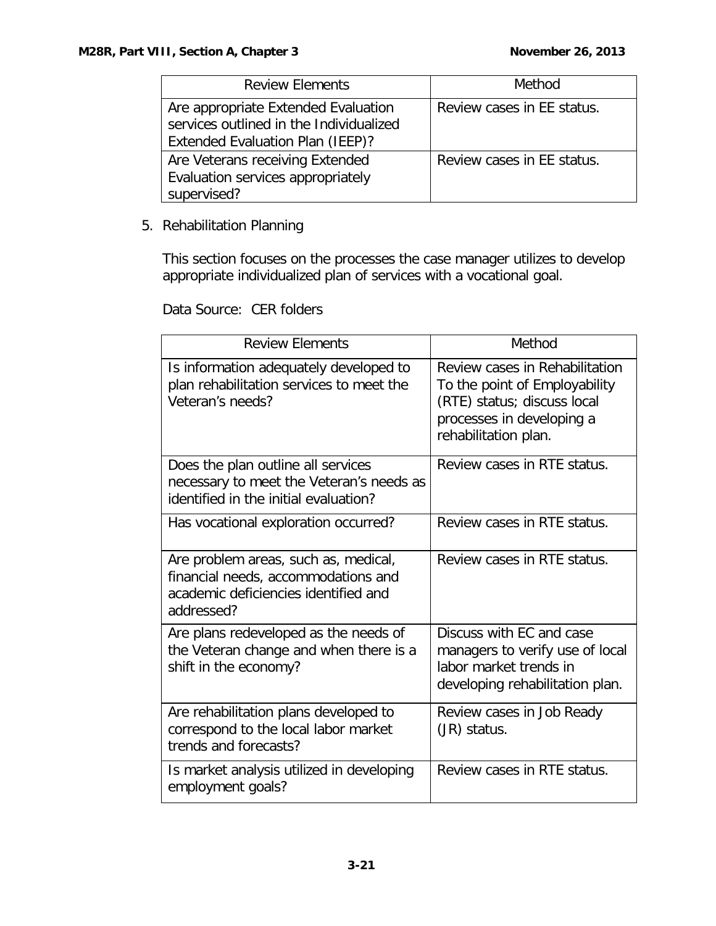| <b>Review Elements</b>                                                                                             | Method                     |
|--------------------------------------------------------------------------------------------------------------------|----------------------------|
| Are appropriate Extended Evaluation<br>services outlined in the Individualized<br>Extended Evaluation Plan (IEEP)? | Review cases in EE status. |
| Are Veterans receiving Extended<br>Evaluation services appropriately<br>supervised?                                | Review cases in EE status. |

## 5. Rehabilitation Planning

This section focuses on the processes the case manager utilizes to develop appropriate individualized plan of services with a vocational goal.

## Data Source: CER folders

| <b>Review Elements</b>                                                                                                            | Method                                                                                                                                              |
|-----------------------------------------------------------------------------------------------------------------------------------|-----------------------------------------------------------------------------------------------------------------------------------------------------|
| Is information adequately developed to<br>plan rehabilitation services to meet the<br>Veteran's needs?                            | Review cases in Rehabilitation<br>To the point of Employability<br>(RTE) status; discuss local<br>processes in developing a<br>rehabilitation plan. |
| Does the plan outline all services<br>necessary to meet the Veteran's needs as<br>identified in the initial evaluation?           | Review cases in RTE status.                                                                                                                         |
| Has vocational exploration occurred?                                                                                              | Review cases in RTE status.                                                                                                                         |
| Are problem areas, such as, medical,<br>financial needs, accommodations and<br>academic deficiencies identified and<br>addressed? | Review cases in RTE status.                                                                                                                         |
| Are plans redeveloped as the needs of<br>the Veteran change and when there is a<br>shift in the economy?                          | Discuss with EC and case<br>managers to verify use of local<br>labor market trends in<br>developing rehabilitation plan.                            |
| Are rehabilitation plans developed to<br>correspond to the local labor market<br>trends and forecasts?                            | Review cases in Job Ready<br>(JR) status.                                                                                                           |
| Is market analysis utilized in developing<br>employment goals?                                                                    | Review cases in RTE status.                                                                                                                         |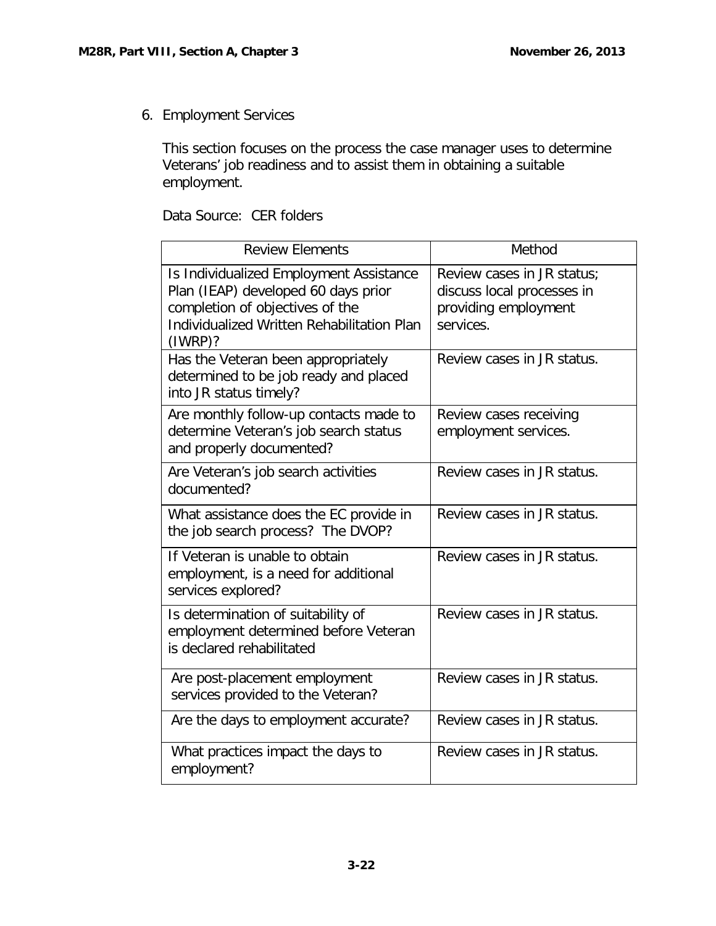6. Employment Services

This section focuses on the process the case manager uses to determine Veterans' job readiness and to assist them in obtaining a suitable employment.

| Data Source: CER folders |  |
|--------------------------|--|
|--------------------------|--|

| <b>Review Elements</b>                                                                                                                                                     | Method                                                                                        |
|----------------------------------------------------------------------------------------------------------------------------------------------------------------------------|-----------------------------------------------------------------------------------------------|
| Is Individualized Employment Assistance<br>Plan (IEAP) developed 60 days prior<br>completion of objectives of the<br>Individualized Written Rehabilitation Plan<br>(IWRP)? | Review cases in JR status;<br>discuss local processes in<br>providing employment<br>services. |
| Has the Veteran been appropriately<br>determined to be job ready and placed<br>into JR status timely?                                                                      | Review cases in JR status.                                                                    |
| Are monthly follow-up contacts made to<br>determine Veteran's job search status<br>and properly documented?                                                                | Review cases receiving<br>employment services.                                                |
| Are Veteran's job search activities<br>documented?                                                                                                                         | Review cases in JR status.                                                                    |
| What assistance does the EC provide in<br>the job search process? The DVOP?                                                                                                | Review cases in JR status.                                                                    |
| If Veteran is unable to obtain<br>employment, is a need for additional<br>services explored?                                                                               | Review cases in JR status.                                                                    |
| Is determination of suitability of<br>employment determined before Veteran<br>is declared rehabilitated                                                                    | Review cases in JR status.                                                                    |
| Are post-placement employment<br>services provided to the Veteran?                                                                                                         | Review cases in JR status.                                                                    |
| Are the days to employment accurate?                                                                                                                                       | Review cases in JR status.                                                                    |
| What practices impact the days to<br>employment?                                                                                                                           | Review cases in JR status.                                                                    |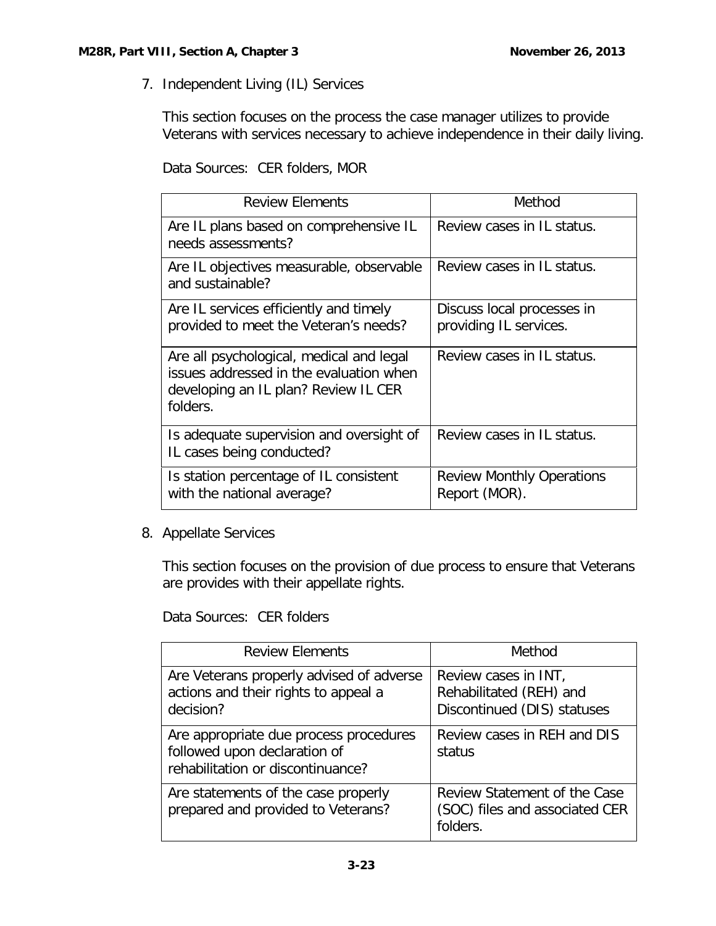7. Independent Living (IL) Services

This section focuses on the process the case manager utilizes to provide Veterans with services necessary to achieve independence in their daily living.

Data Sources: CER folders, MOR

| <b>Review Elements</b>                                                                                                                  | Method                                               |
|-----------------------------------------------------------------------------------------------------------------------------------------|------------------------------------------------------|
| Are IL plans based on comprehensive IL<br>needs assessments?                                                                            | Review cases in IL status.                           |
| Are IL objectives measurable, observable<br>and sustainable?                                                                            | Review cases in IL status.                           |
| Are IL services efficiently and timely<br>provided to meet the Veteran's needs?                                                         | Discuss local processes in<br>providing IL services. |
| Are all psychological, medical and legal<br>issues addressed in the evaluation when<br>developing an IL plan? Review IL CER<br>folders. | Review cases in IL status.                           |
| Is adequate supervision and oversight of<br>IL cases being conducted?                                                                   | Review cases in IL status.                           |
| Is station percentage of IL consistent<br>with the national average?                                                                    | <b>Review Monthly Operations</b><br>Report (MOR).    |

8. Appellate Services

This section focuses on the provision of due process to ensure that Veterans are provides with their appellate rights.

Data Sources: CER folders

| <b>Review Elements</b>                                                                                      | Method                                                                         |
|-------------------------------------------------------------------------------------------------------------|--------------------------------------------------------------------------------|
| Are Veterans properly advised of adverse<br>actions and their rights to appeal a<br>decision?               | Review cases in INT,<br>Rehabilitated (REH) and<br>Discontinued (DIS) statuses |
| Are appropriate due process procedures<br>followed upon declaration of<br>rehabilitation or discontinuance? | Review cases in REH and DIS<br>status                                          |
| Are statements of the case properly<br>prepared and provided to Veterans?                                   | Review Statement of the Case<br>(SOC) files and associated CER<br>folders.     |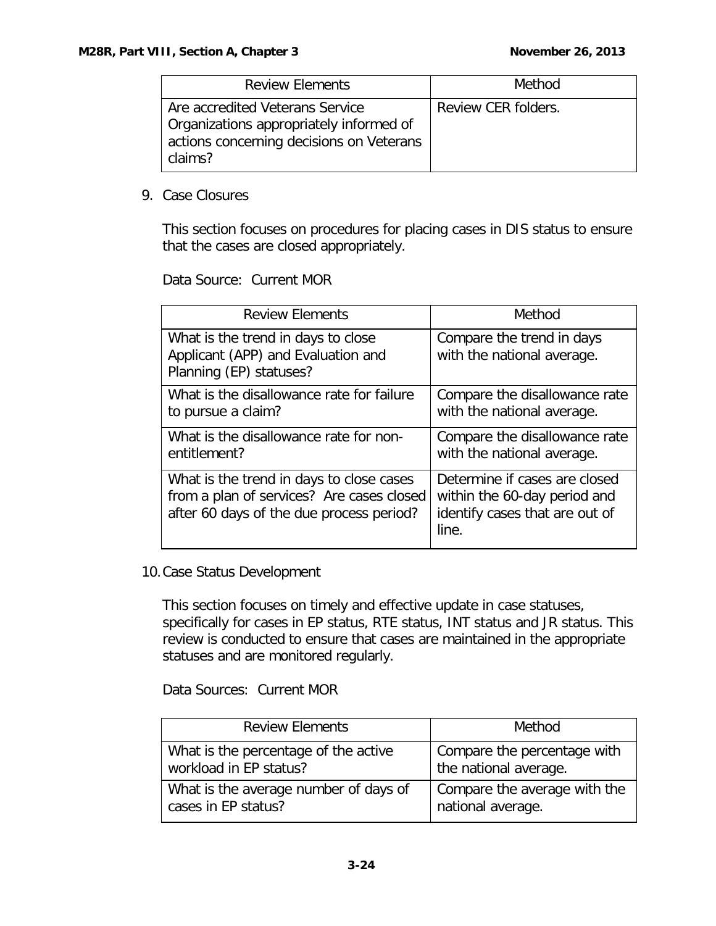| <b>Review Elements</b>                                                                                                            | Method              |
|-----------------------------------------------------------------------------------------------------------------------------------|---------------------|
| Are accredited Veterans Service<br>Organizations appropriately informed of<br>actions concerning decisions on Veterans<br>claims? | Review CER folders. |

9. Case Closures

This section focuses on procedures for placing cases in DIS status to ensure that the cases are closed appropriately.

Data Source: Current MOR

| <b>Review Elements</b>                                                                                                            | Method                                                                                                   |
|-----------------------------------------------------------------------------------------------------------------------------------|----------------------------------------------------------------------------------------------------------|
| What is the trend in days to close<br>Applicant (APP) and Evaluation and<br>Planning (EP) statuses?                               | Compare the trend in days<br>with the national average.                                                  |
| What is the disallowance rate for failure<br>to pursue a claim?                                                                   | Compare the disallowance rate<br>with the national average.                                              |
| What is the disallowance rate for non-<br>entitlement?                                                                            | Compare the disallowance rate<br>with the national average.                                              |
| What is the trend in days to close cases<br>from a plan of services? Are cases closed<br>after 60 days of the due process period? | Determine if cases are closed<br>within the 60-day period and<br>identify cases that are out of<br>line. |

#### 10.Case Status Development

This section focuses on timely and effective update in case statuses, specifically for cases in EP status, RTE status, INT status and JR status. This review is conducted to ensure that cases are maintained in the appropriate statuses and are monitored regularly.

Data Sources: Current MOR

| <b>Review Elements</b>                | Method                       |
|---------------------------------------|------------------------------|
| What is the percentage of the active  | Compare the percentage with  |
| workload in EP status?                | the national average.        |
| What is the average number of days of | Compare the average with the |
| cases in EP status?                   | national average.            |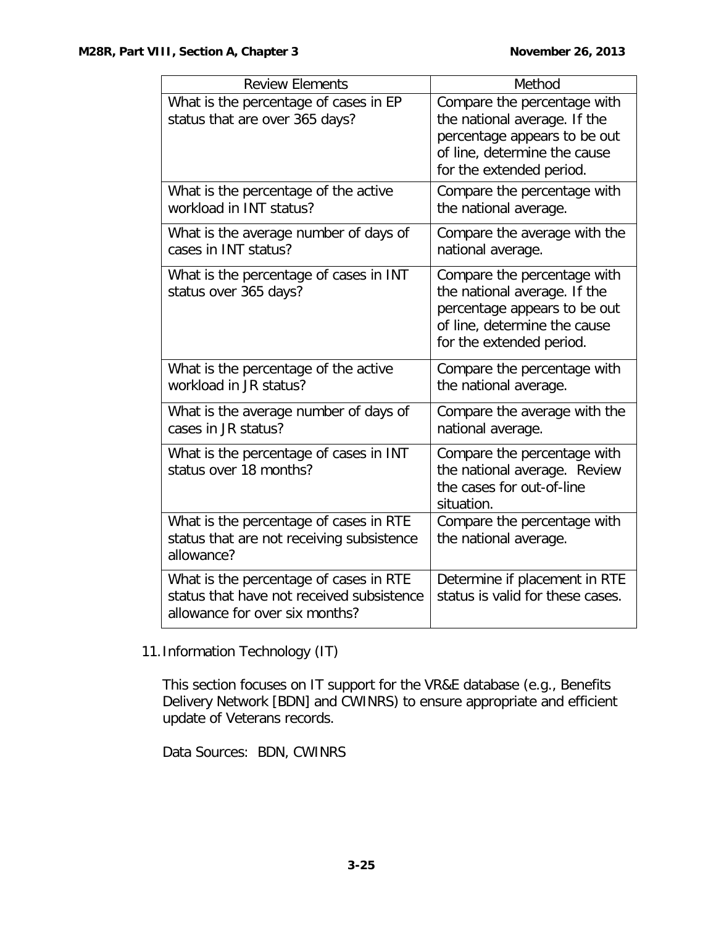| <b>Review Elements</b>                                                                                                | Method                                                                                                                                                  |
|-----------------------------------------------------------------------------------------------------------------------|---------------------------------------------------------------------------------------------------------------------------------------------------------|
| What is the percentage of cases in EP<br>status that are over 365 days?                                               | Compare the percentage with<br>the national average. If the<br>percentage appears to be out<br>of line, determine the cause<br>for the extended period. |
| What is the percentage of the active<br>workload in INT status?                                                       | Compare the percentage with<br>the national average.                                                                                                    |
| What is the average number of days of<br>cases in INT status?                                                         | Compare the average with the<br>national average.                                                                                                       |
| What is the percentage of cases in INT<br>status over 365 days?                                                       | Compare the percentage with<br>the national average. If the<br>percentage appears to be out<br>of line, determine the cause<br>for the extended period. |
| What is the percentage of the active<br>workload in JR status?                                                        | Compare the percentage with<br>the national average.                                                                                                    |
| What is the average number of days of<br>cases in JR status?                                                          | Compare the average with the<br>national average.                                                                                                       |
| What is the percentage of cases in INT<br>status over 18 months?                                                      | Compare the percentage with<br>the national average. Review<br>the cases for out-of-line<br>situation.                                                  |
| What is the percentage of cases in RTE<br>status that are not receiving subsistence<br>allowance?                     | Compare the percentage with<br>the national average.                                                                                                    |
| What is the percentage of cases in RTE<br>status that have not received subsistence<br>allowance for over six months? | Determine if placement in RTE<br>status is valid for these cases.                                                                                       |

11.Information Technology (IT)

This section focuses on IT support for the VR&E database (e.g., Benefits Delivery Network [BDN] and CWINRS) to ensure appropriate and efficient update of Veterans records.

Data Sources: BDN, CWINRS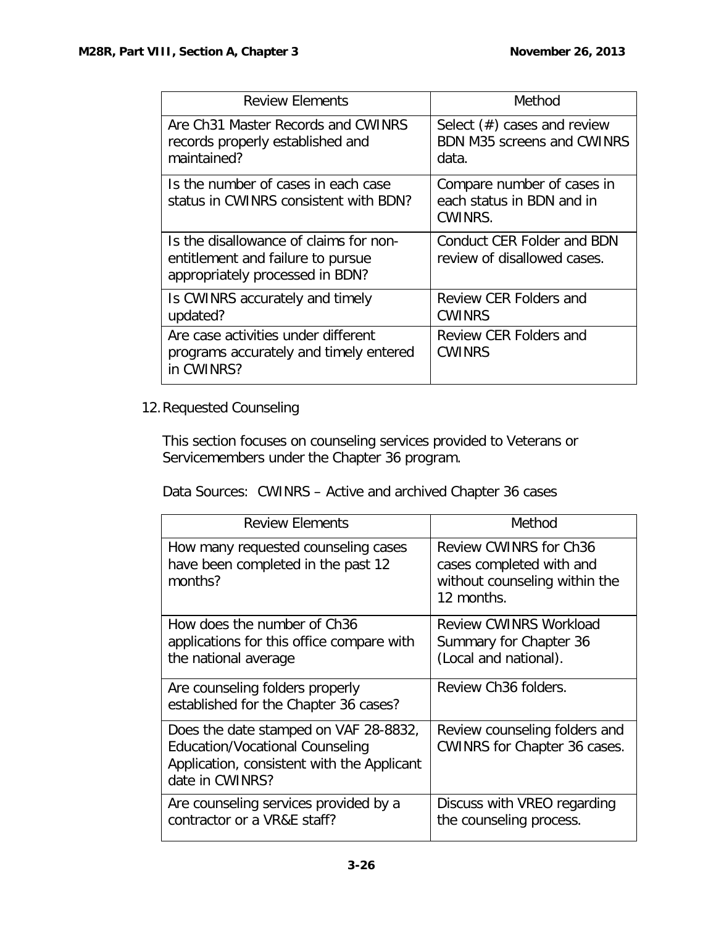| <b>Review Elements</b>                                                                                         | Method                                                                       |
|----------------------------------------------------------------------------------------------------------------|------------------------------------------------------------------------------|
| Are Ch31 Master Records and CWINRS<br>records properly established and<br>maintained?                          | Select $(\#)$ cases and review<br><b>BDN M35 screens and CWINRS</b><br>data. |
| Is the number of cases in each case<br>status in CWINRS consistent with BDN?                                   | Compare number of cases in<br>each status in BDN and in<br>CWINRS.           |
| Is the disallowance of claims for non-<br>entitlement and failure to pursue<br>appropriately processed in BDN? | Conduct CER Folder and BDN<br>review of disallowed cases.                    |
| Is CWINRS accurately and timely<br>updated?                                                                    | Review CER Folders and<br><b>CWINRS</b>                                      |
| Are case activities under different<br>programs accurately and timely entered<br>in CWINRS?                    | Review CER Folders and<br><b>CWINRS</b>                                      |

# 12.Requested Counseling

This section focuses on counseling services provided to Veterans or Servicemembers under the Chapter 36 program.

Data Sources: CWINRS – Active and archived Chapter 36 cases

| <b>Review Elements</b>                                                                                                                           | Method                                                                                                   |
|--------------------------------------------------------------------------------------------------------------------------------------------------|----------------------------------------------------------------------------------------------------------|
| How many requested counseling cases<br>have been completed in the past 12<br>months?                                                             | <b>Review CWINRS for Ch36</b><br>cases completed with and<br>without counseling within the<br>12 months. |
| How does the number of Ch36<br>applications for this office compare with<br>the national average                                                 | <b>Review CWINRS Workload</b><br>Summary for Chapter 36<br>(Local and national).                         |
| Are counseling folders properly<br>established for the Chapter 36 cases?                                                                         | Review Ch <sub>36</sub> folders.                                                                         |
| Does the date stamped on VAF 28-8832,<br><b>Education/Vocational Counseling</b><br>Application, consistent with the Applicant<br>date in CWINRS? | Review counseling folders and<br><b>CWINRS for Chapter 36 cases.</b>                                     |
| Are counseling services provided by a<br>contractor or a VR&E staff?                                                                             | Discuss with VREO regarding<br>the counseling process.                                                   |